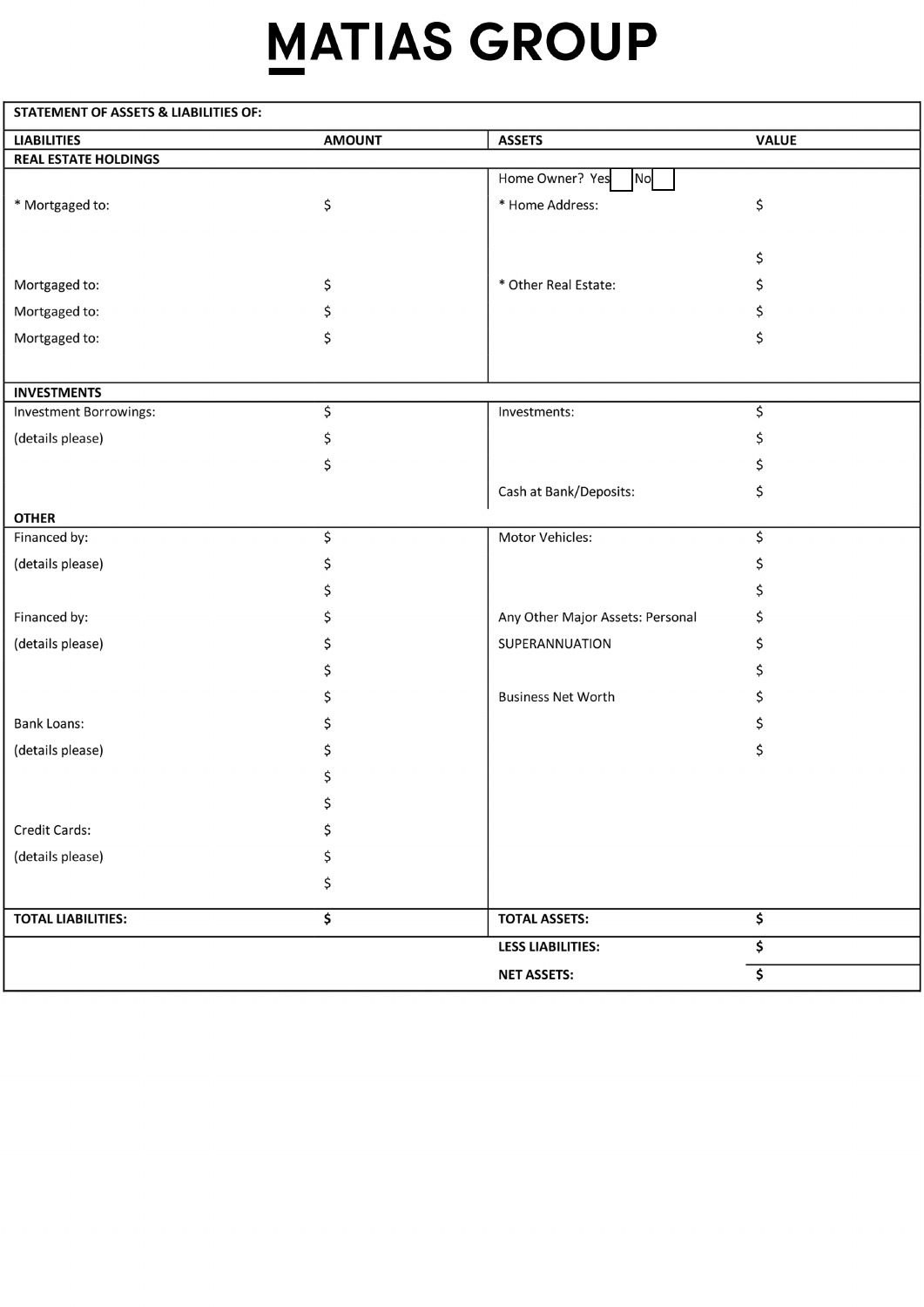# **MATIAS GROUP**

| <b>STATEMENT OF ASSETS &amp; LIABILITIES OF:</b> |               |                                  |              |
|--------------------------------------------------|---------------|----------------------------------|--------------|
| <b>LIABILITIES</b>                               | <b>AMOUNT</b> | <b>ASSETS</b>                    | <b>VALUE</b> |
| <b>REAL ESTATE HOLDINGS</b>                      |               |                                  |              |
|                                                  |               | Home Owner? Yes<br><b>No</b>     |              |
| * Mortgaged to:                                  | \$            | * Home Address:                  | \$           |
|                                                  |               |                                  |              |
|                                                  |               |                                  | \$           |
| Mortgaged to:                                    | \$            | * Other Real Estate:             | \$           |
| Mortgaged to:                                    | \$            |                                  | \$           |
| Mortgaged to:                                    | \$            |                                  | \$           |
|                                                  |               |                                  |              |
| <b>INVESTMENTS</b>                               |               |                                  |              |
| Investment Borrowings:                           | \$            | Investments:                     | \$           |
| (details please)                                 | \$            |                                  |              |
|                                                  | \$            |                                  | S            |
|                                                  |               | Cash at Bank/Deposits:           | \$           |
|                                                  |               |                                  |              |
| <b>OTHER</b><br>Financed by:                     | \$            | Motor Vehicles:                  | \$           |
|                                                  |               |                                  |              |
| (details please)                                 | \$            |                                  | \$           |
|                                                  | \$            |                                  | \$           |
| Financed by:                                     | \$            | Any Other Major Assets: Personal | \$           |
| (details please)                                 |               | SUPERANNUATION                   | S            |
|                                                  | \$            |                                  | S            |
|                                                  |               | <b>Business Net Worth</b>        | \$           |
| <b>Bank Loans:</b>                               |               |                                  | \$.          |
| (details please)                                 |               |                                  | \$           |
|                                                  |               |                                  |              |
|                                                  | \$            |                                  |              |
| Credit Cards:                                    |               |                                  |              |
| (details please)                                 |               |                                  |              |
|                                                  | \$            |                                  |              |
| <b>TOTAL LIABILITIES:</b>                        | \$            | <b>TOTAL ASSETS:</b>             | \$           |
|                                                  |               |                                  |              |
|                                                  |               | <b>LESS LIABILITIES:</b>         | \$           |
|                                                  |               | <b>NET ASSETS:</b>               | \$           |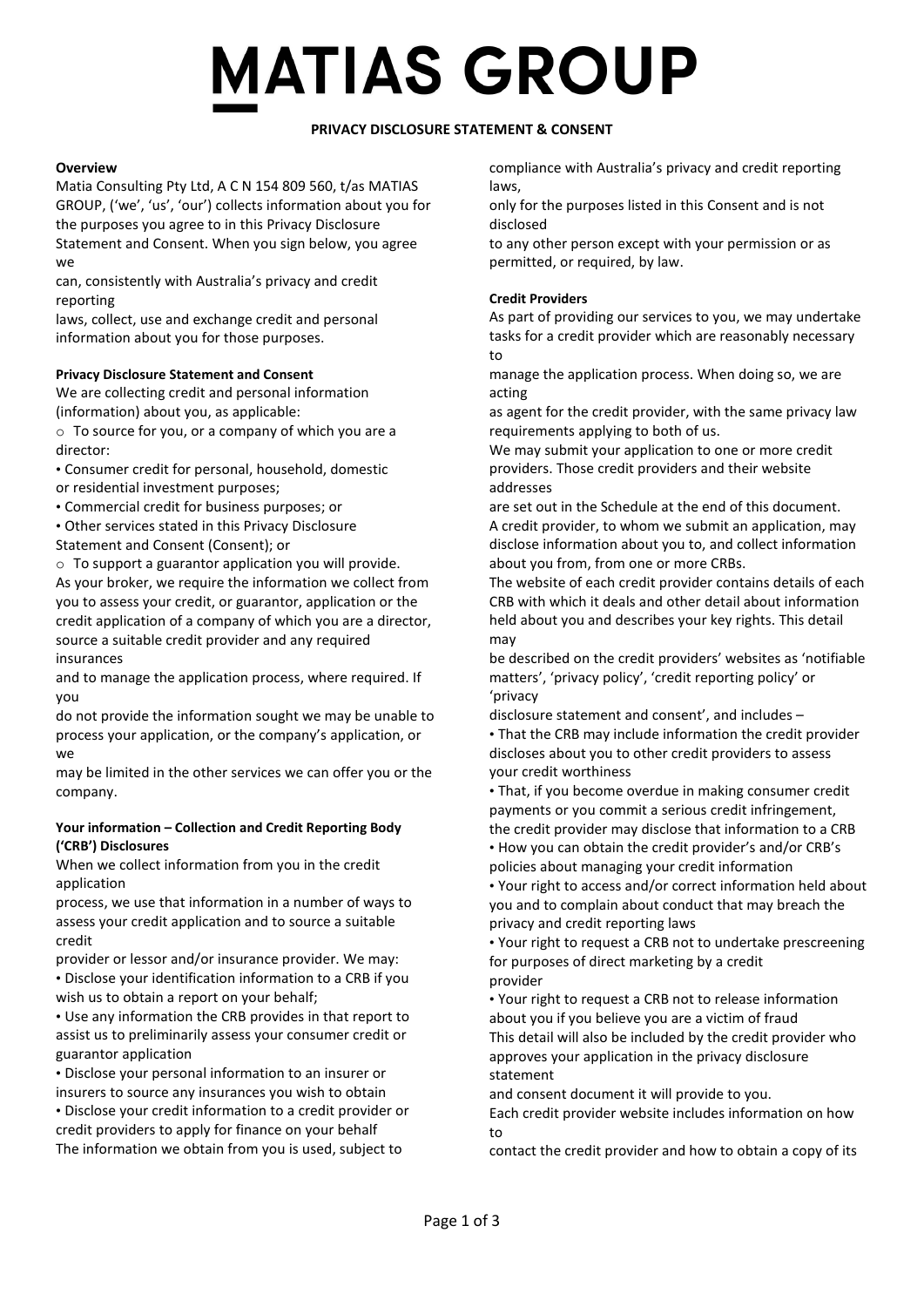# **MATIAS GROUP**

## **PRIVACY DISCLOSURE STATEMENT & CONSENT**

### **Overview**

Matia Consulting Pty Ltd, A C N 154 809 560, t/as MATIAS GROUP, ('we', 'us', 'our') collects information about you for the purposes you agree to in this Privacy Disclosure Statement and Consent. When you sign below, you agree we

can, consistently with Australia's privacy and credit reporting

laws, collect, use and exchange credit and personal information about you for those purposes.

#### **Privacy Disclosure Statement and Consent**

We are collecting credit and personal information (information) about you, as applicable:

o To source for you, or a company of which you are a director:

• Consumer credit for personal, household, domestic or residential investment purposes;

• Commercial credit for business purposes; or

• Other services stated in this Privacy Disclosure

Statement and Consent (Consent); or

 $\circ$  To support a guarantor application you will provide.

As your broker, we require the information we collect from you to assess your credit, or guarantor, application or the credit application of a company of which you are a director, source a suitable credit provider and any required insurances

and to manage the application process, where required. If you

do not provide the information sought we may be unable to process your application, or the company's application, or we

may be limited in the other services we can offer you or the company.

#### **Your information – Collection and Credit Reporting Body ('CRB') Disclosures**

When we collect information from you in the credit application

process, we use that information in a number of ways to assess your credit application and to source a suitable credit

provider or lessor and/or insurance provider. We may: • Disclose your identification information to a CRB if you wish us to obtain a report on your behalf;

• Use any information the CRB provides in that report to assist us to preliminarily assess your consumer credit or guarantor application

• Disclose your personal information to an insurer or

insurers to source any insurances you wish to obtain • Disclose your credit information to a credit provider or credit providers to apply for finance on your behalf The information we obtain from you is used, subject to

compliance with Australia's privacy and credit reporting laws,

only for the purposes listed in this Consent and is not disclosed

to any other person except with your permission or as permitted, or required, by law.

### **Credit Providers**

As part of providing our services to you, we may undertake tasks for a credit provider which are reasonably necessary to

manage the application process. When doing so, we are acting

as agent for the credit provider, with the same privacy law requirements applying to both of us.

We may submit your application to one or more credit providers. Those credit providers and their website addresses

are set out in the Schedule at the end of this document. A credit provider, to whom we submit an application, may disclose information about you to, and collect information about you from, from one or more CRBs.

The website of each credit provider contains details of each CRB with which it deals and other detail about information held about you and describes your key rights. This detail may

be described on the credit providers' websites as 'notifiable matters', 'privacy policy', 'credit reporting policy' or 'privacy

disclosure statement and consent', and includes – • That the CRB may include information the credit provider discloses about you to other credit providers to assess your credit worthiness

• That, if you become overdue in making consumer credit payments or you commit a serious credit infringement, the credit provider may disclose that information to a CRB • How you can obtain the credit provider's and/or CRB's policies about managing your credit information

• Your right to access and/or correct information held about you and to complain about conduct that may breach the privacy and credit reporting laws

• Your right to request a CRB not to undertake prescreening for purposes of direct marketing by a credit provider

• Your right to request a CRB not to release information about you if you believe you are a victim of fraud This detail will also be included by the credit provider who approves your application in the privacy disclosure statement

and consent document it will provide to you.

Each credit provider website includes information on how to

contact the credit provider and how to obtain a copy of its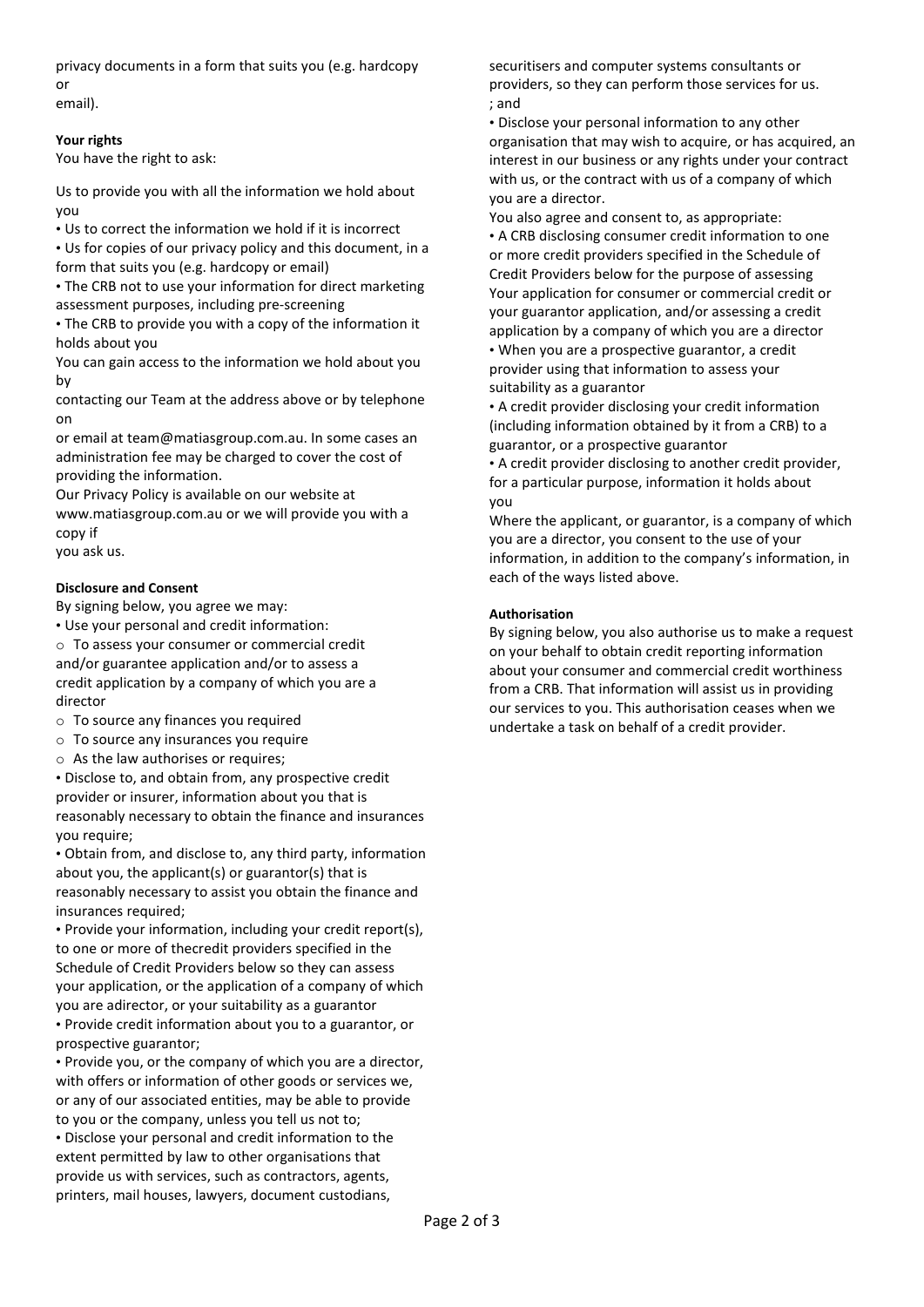privacy documents in a form that suits you (e.g. hardcopy or email).

#### **Your rights**

You have the right to ask:

Us to provide you with all the information we hold about you

• Us to correct the information we hold if it is incorrect

• Us for copies of our privacy policy and this document, in a form that suits you (e.g. hardcopy or email)

• The CRB not to use your information for direct marketing assessment purposes, including pre-screening

• The CRB to provide you with a copy of the information it holds about you

You can gain access to the information we hold about you by

contacting our Team at the address above or by telephone on

or email at team@matiasgroup.com.au. In some cases an administration fee may be charged to cover the cost of providing the information.

Our Privacy Policy is available on our website at www.matiasgroup.com.au or we will provide you with a copy if

you ask us.

#### **Disclosure and Consent**

By signing below, you agree we may:

• Use your personal and credit information: o To assess your consumer or commercial credit and/or guarantee application and/or to assess a credit application by a company of which you are a director

- o To source any finances you required
- o To source any insurances you require
- $\circ$  As the law authorises or requires:

• Disclose to, and obtain from, any prospective credit provider or insurer, information about you that is reasonably necessary to obtain the finance and insurances you require;

• Obtain from, and disclose to, any third party, information about you, the applicant(s) or guarantor(s) that is reasonably necessary to assist you obtain the finance and insurances required:

• Provide your information, including your credit report(s), to one or more of thecredit providers specified in the Schedule of Credit Providers below so they can assess your application, or the application of a company of which you are adirector, or your suitability as a guarantor

• Provide credit information about you to a guarantor, or prospective guarantor;

• Provide you, or the company of which you are a director, with offers or information of other goods or services we, or any of our associated entities, may be able to provide to you or the company, unless you tell us not to; • Disclose your personal and credit information to the extent permitted by law to other organisations that

provide us with services, such as contractors, agents, printers, mail houses, lawyers, document custodians,

securitisers and computer systems consultants or providers, so they can perform those services for us. ; and

• Disclose your personal information to any other organisation that may wish to acquire, or has acquired, an interest in our business or any rights under your contract with us, or the contract with us of a company of which you are a director.

You also agree and consent to, as appropriate: • A CRB disclosing consumer credit information to one or more credit providers specified in the Schedule of Credit Providers below for the purpose of assessing Your application for consumer or commercial credit or your guarantor application, and/or assessing a credit application by a company of which you are a director • When you are a prospective guarantor, a credit provider using that information to assess your suitability as a guarantor

• A credit provider disclosing your credit information (including information obtained by it from a CRB) to a guarantor, or a prospective guarantor

• A credit provider disclosing to another credit provider, for a particular purpose, information it holds about you

Where the applicant, or guarantor, is a company of which you are a director, you consent to the use of your information, in addition to the company's information, in each of the ways listed above.

#### **Authorisation**

By signing below, you also authorise us to make a request on your behalf to obtain credit reporting information about your consumer and commercial credit worthiness from a CRB. That information will assist us in providing our services to you. This authorisation ceases when we undertake a task on behalf of a credit provider.